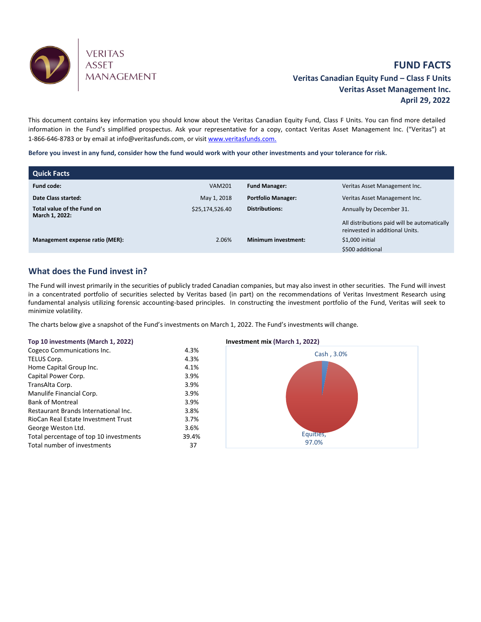

# **FUND FACTS Veritas Canadian Equity Fund – Class F Units Veritas Asset Management Inc. April 29, 2022**

This document contains key information you should know about the Veritas Canadian Equity Fund, Class F Units. You can find more detailed information in the Fund's simplified prospectus. Ask your representative for a copy, contact Veritas Asset Management Inc. ("Veritas") at 1-866-646-8783 or by email at info@veritasfunds.com, or visi[t www.veritasfunds.com.](http://www.alignvestcapital.com./)

**Before you invest in any fund, consider how the fund would work with your other investments and your tolerance for risk.**

| Quick Facts                                  |                 |                            |                                                                                 |
|----------------------------------------------|-----------------|----------------------------|---------------------------------------------------------------------------------|
| <b>Fund code:</b>                            | <b>VAM201</b>   | <b>Fund Manager:</b>       | Veritas Asset Management Inc.                                                   |
| Date Class started:                          | May 1, 2018     | <b>Portfolio Manager:</b>  | Veritas Asset Management Inc.                                                   |
| Total value of the Fund on<br>March 1, 2022: | \$25,174,526.40 | <b>Distributions:</b>      | Annually by December 31.                                                        |
|                                              |                 |                            | All distributions paid will be automatically<br>reinvested in additional Units. |
| Management expense ratio (MER):              | 2.06%           | <b>Minimum investment:</b> | \$1,000 initial                                                                 |
|                                              |                 |                            | \$500 additional                                                                |

## **What does the Fund invest in?**

The Fund will invest primarily in the securities of publicly traded Canadian companies, but may also invest in other securities. The Fund will invest in a concentrated portfolio of securities selected by Veritas based (in part) on the recommendations of Veritas Investment Research using fundamental analysis utilizing forensic accounting-based principles. In constructing the investment portfolio of the Fund, Veritas will seek to minimize volatility.

The charts below give a snapshot of the Fund's investments on March 1, 2022. The Fund's investments will change.

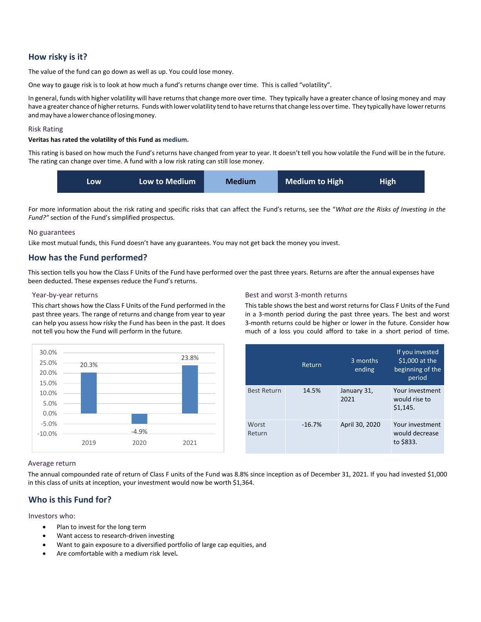## **How risky is it?**

The value of the fund can go down as well as up. You could lose money.

One way to gauge risk is to look at how much a fund's returns change over time. This is called "volatility".

In general, funds with higher volatility will have returns that change more over time. They typically have a greater chance of losing money and may have a greater chance of higher returns. Funds with lower volatility tend to have returns that change less over time. They typically have lower returns and may have a lower chance of losing money.

### Risk Rating

### **Veritas has rated the volatility of this Fund as medium.**

This rating is based on how much the Fund's returns have changed from year to year. It doesn't tell you how volatile the Fund will be in the future. The rating can change over time. A fund with a low risk rating can still lose money.



For more information about the risk rating and specific risks that can affect the Fund's returns, see the "*What are the Risks of Investing in the Fund?"* section of the Fund's simplified prospectus.

### No guarantees

Like most mutual funds, this Fund doesn't have any guarantees. You may not get back the money you invest.

### **How has the Fund performed?**

This section tells you how the Class F Units of the Fund have performed over the past three years. Returns are after the annual expenses have been deducted. These expenses reduce the Fund's returns.

#### Year-by-year returns

This chart shows how the Class F Units of the Fund performed in the past three years. The range of returns and change from year to year can help you assess how risky the Fund has been in the past. It does not tell you how the Fund will perform in the future.



### Best and worst 3-month returns

This table shows the best and worst returns for Class F Units of the Fund in a 3-month period during the past three years. The best and worst 3-month returns could be higher or lower in the future. Consider how much of a loss you could afford to take in a short period of time.

|                    | Return   | 3 months<br>ending  | If you invested<br>\$1,000 at the<br>beginning of the<br>period |
|--------------------|----------|---------------------|-----------------------------------------------------------------|
| <b>Best Return</b> | 14.5%    | January 31,<br>2021 | Your investment<br>would rise to<br>\$1,145.                    |
| Worst<br>Return    | $-16.7%$ | April 30, 2020      | Your investment<br>would decrease<br>to \$833.                  |

#### Average return

The annual compounded rate of return of Class F units of the Fund was 8.8% since inception as of December 31, 2021. If you had invested \$1,000 in this class of units at inception, your investment would now be worth \$1,364.

### **Who is this Fund for?**

### Investors who:

- Plan to invest for the long term
- Want access to research-driven investing
- Want to gain exposure to a diversified portfolio of large cap equities, and
- Are comfortable with a medium risk level**.**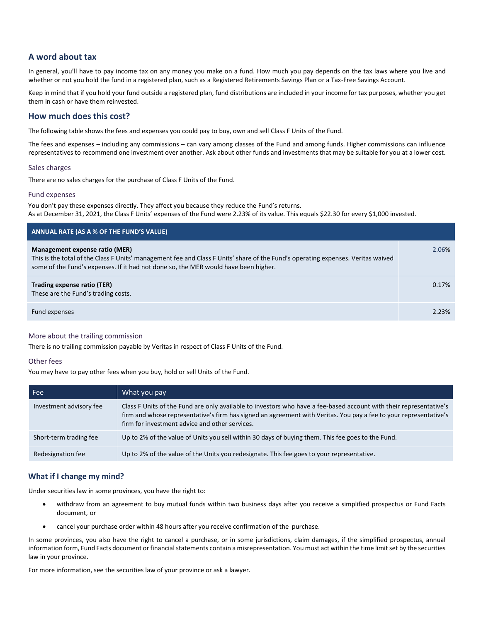## **A word about tax**

In general, you'll have to pay income tax on any money you make on a fund. How much you pay depends on the tax laws where you live and whether or not you hold the fund in a registered plan, such as a Registered Retirements Savings Plan or a Tax-Free Savings Account.

Keep in mind that if you hold your fund outside a registered plan, fund distributions are included in your income for tax purposes, whether you get them in cash or have them reinvested.

### **How much does this cost?**

The following table shows the fees and expenses you could pay to buy, own and sell Class F Units of the Fund.

The fees and expenses – including any commissions – can vary among classes of the Fund and among funds. Higher commissions can influence representatives to recommend one investment over another. Ask about other funds and investments that may be suitable for you at a lower cost.

### Sales charges

There are no sales charges for the purchase of Class F Units of the Fund.

### Fund expenses

You don't pay these expenses directly. They affect you because they reduce the Fund's returns. As at December 31, 2021, the Class F Units' expenses of the Fund were 2.23% of its value. This equals \$22.30 for every \$1,000 invested.

| ANNUAL RATE (AS A % OF THE FUND'S VALUE)                                                                                                                                                                                                                  |       |
|-----------------------------------------------------------------------------------------------------------------------------------------------------------------------------------------------------------------------------------------------------------|-------|
| Management expense ratio (MER)<br>This is the total of the Class F Units' management fee and Class F Units' share of the Fund's operating expenses. Veritas waived<br>some of the Fund's expenses. If it had not done so, the MER would have been higher. | 2.06% |
| Trading expense ratio (TER)<br>These are the Fund's trading costs.                                                                                                                                                                                        | 0.17% |
| Fund expenses                                                                                                                                                                                                                                             | 2.23% |

### More about the trailing commission

There is no trailing commission payable by Veritas in respect of Class F Units of the Fund.

### Other fees

You may have to pay other fees when you buy, hold or sell Units of the Fund.

| Fee                     | What you pay                                                                                                                                                                                                                                                                              |
|-------------------------|-------------------------------------------------------------------------------------------------------------------------------------------------------------------------------------------------------------------------------------------------------------------------------------------|
| Investment advisory fee | Class F Units of the Fund are only available to investors who have a fee-based account with their representative's<br>firm and whose representative's firm has signed an agreement with Veritas. You pay a fee to your representative's<br>firm for investment advice and other services. |
| Short-term trading fee  | Up to 2% of the value of Units you sell within 30 days of buying them. This fee goes to the Fund.                                                                                                                                                                                         |
| Redesignation fee       | Up to 2% of the value of the Units you redesignate. This fee goes to your representative.                                                                                                                                                                                                 |

### **What if I change my mind?**

Under securities law in some provinces, you have the right to:

- withdraw from an agreement to buy mutual funds within two business days after you receive a simplified prospectus or Fund Facts document, or
- cancel your purchase order within 48 hours after you receive confirmation of the purchase.

In some provinces, you also have the right to cancel a purchase, or in some jurisdictions, claim damages, if the simplified prospectus, annual information form, Fund Facts document or financial statements contain a misrepresentation. You must act within the time limit set by the securities law in your province.

For more information, see the securities law of your province or ask a lawyer.